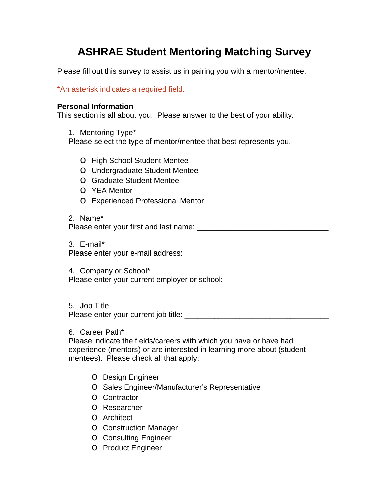# **ASHRAE Student Mentoring Matching Survey**

Please fill out this survey to assist us in pairing you with a mentor/mentee.

\*An asterisk indicates a required field.

### **Personal Information**

This section is all about you. Please answer to the best of your ability.

1. Mentoring Type\*

Please select the type of mentor/mentee that best represents you.

- o High School Student Mentee
- o Undergraduate Student Mentee
- o Graduate Student Mentee
- o YEA Mentor
- o Experienced Professional Mentor

2. Name\* Please enter your first and last name: \_\_\_\_\_\_\_\_\_\_\_\_\_\_\_\_\_\_\_\_\_\_\_\_\_\_\_\_\_\_\_

3. E-mail\* Please enter your e-mail address: \_\_\_\_\_\_\_\_\_\_\_\_\_\_\_\_\_\_\_\_\_\_\_\_\_\_\_\_\_\_\_\_\_\_

4. Company or School\* Please enter your current employer or school:

\_\_\_\_\_\_\_\_\_\_\_\_\_\_\_\_\_\_\_\_\_\_\_\_\_\_\_\_\_\_\_\_

5. Job Title Please enter your current job title: \_\_\_\_\_\_\_\_\_\_\_\_\_\_\_\_\_\_\_\_\_\_\_\_\_\_\_\_\_\_\_\_\_\_

6. Career Path\*

Please indicate the fields/careers with which you have or have had experience (mentors) or are interested in learning more about (student mentees). Please check all that apply:

- o Design Engineer
- o Sales Engineer/Manufacturer's Representative
- o Contractor
- o Researcher
- o Architect
- o Construction Manager
- o Consulting Engineer
- o Product Engineer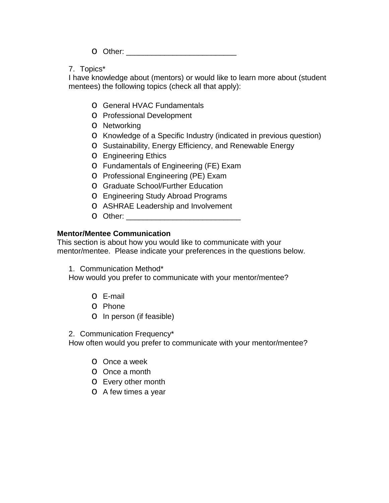o Other: \_\_\_\_\_\_\_\_\_\_\_\_\_\_\_\_\_\_\_\_\_\_\_\_\_\_

7. Topics\*

I have knowledge about (mentors) or would like to learn more about (student mentees) the following topics (check all that apply):

- o General HVAC Fundamentals
- o Professional Development
- o Networking
- o Knowledge of a Specific Industry (indicated in previous question)
- o Sustainability, Energy Efficiency, and Renewable Energy
- o Engineering Ethics
- o Fundamentals of Engineering (FE) Exam
- o Professional Engineering (PE) Exam
- o Graduate School/Further Education
- o Engineering Study Abroad Programs
- o ASHRAE Leadership and Involvement
- o Other: \_\_\_\_\_\_\_\_\_\_\_\_\_\_\_\_\_\_\_\_\_\_\_\_\_\_\_

## **Mentor/Mentee Communication**

This section is about how you would like to communicate with your mentor/mentee. Please indicate your preferences in the questions below.

1. Communication Method\*

How would you prefer to communicate with your mentor/mentee?

- o E-mail
- o Phone
- o In person (if feasible)

2. Communication Frequency\*

How often would you prefer to communicate with your mentor/mentee?

- o Once a week
- o Once a month
- o Every other month
- o A few times a year